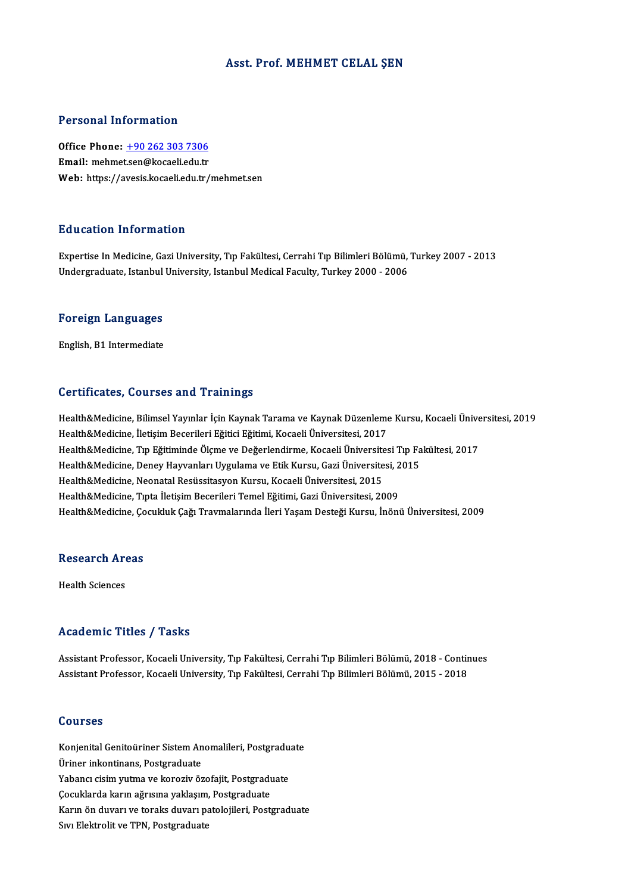### Asst. Prof. MEHMET CELAL ŞEN

### Personal Information

Personal Information<br>Office Phone: <u>+90 262 303 7306</u><br>Email: mehmet.cor@keepeliedu.tr Processian and Camadellah<br>Office Phone: <u>+90 262 303 7306</u><br>Email: mehme[t.sen@kocaeli.edu.tr](tel:+90 262 303 7306) Email: mehmet.sen@kocaeli.edu.tr<br>Web: https://avesis.kocaeli.edu.tr/mehmet.sen

### Education Information

Expertise InMedicine,GaziUniversity,Tıp Fakültesi,CerrahiTıpBilimleriBölümü,Turkey2007 -2013 Undergraduate, Istanbul University, Istanbul Medical Faculty, Turkey 2000 - 2006

## <sub>ondergraduate, istanbul</sub><br>Foreign Languages F<mark>oreign Languages</mark><br>English, B1 Intermediate

# English, B1 Intermediate<br>Certificates, Courses and Trainings

Certificates, Courses and Trainings<br>Health&Medicine, Bilimsel Yayınlar İçin Kaynak Tarama ve Kaynak Düzenleme Kursu, Kocaeli Üniversitesi, 2019<br>Health&Medicine, İletisim Becerileri Eğitisi Fğitimi, Kocaeli Üniversitesi, 20 Health&Medicine, İletişim Becerileri Eğitici Eğitimi, Kocaeli Üniversitesi, 2017<br>Health&Medicine, Tıp Eğitiminde Ölçme ve Değerlendirme, Kocaeli Üniversitesi Tıp Fakültesi, 2017 Health&Medicine, Bilimsel Yayınlar İçin Kaynak Tarama ve Kaynak Düzenleme Kursu, Kocaeli Ünive<br>Health&Medicine, İletişim Becerileri Eğitici Eğitimi, Kocaeli Üniversitesi, 2017<br>Health&Medicine, Tıp Eğitiminde Ölçme ve Değer Health&Medicine, Deney Hayvanları Uygulama ve Etik Kursu, Gazi Üniversitesi, 2015 Health&Medicine, Tıp Eğitiminde Ölçme ve Değerlendirme, Kocaeli Üniversite<br>Health&Medicine, Deney Hayvanları Uygulama ve Etik Kursu, Gazi Üniversite<br>Health&Medicine, Neonatal Resüssitasyon Kursu, Kocaeli Üniversitesi, 2015 Health&Medicine, Deney Hayvanları Uygulama ve Etik Kursu, Gazi Üniversitesi, 2<br>Health&Medicine, Neonatal Resüssitasyon Kursu, Kocaeli Üniversitesi, 2015<br>Health&Medicine, Tıpta İletişim Becerileri Temel Eğitimi, Gazi Üniver Health&Medicine, Tıpta İletişim Becerileri Temel Eğitimi, Gazi Üniversitesi, 2009<br>Health&Medicine, Çocukluk Çağı Travmalarında İleri Yaşam Desteği Kursu, İnönü Üniversitesi, 2009

## nealth&medicine, <sub>y</sub>o<br>Research Areas R<mark>esearch Ar</mark><br>Health Sciences

# Academic Titles / Tasks

Academic Titles / Tasks<br>Assistant Professor, Kocaeli University, Tıp Fakültesi, Cerrahi Tıp Bilimleri Bölümü, 2018 - Continues<br>Assistant Professor, Kosaeli University, Tıp Fakültesi, Cerrahi Tıp Bilimleri Bölümü, 2015 - 20 110aa omno 11000 7<br>Assistant Professor, Kocaeli University, Tıp Fakültesi, Cerrahi Tıp Bilimleri Bölümü, 2018 - Contir<br>Assistant Professor, Kocaeli University, Tıp Fakültesi, Cerrahi Tıp Bilimleri Bölümü, 2015 - 2018 Assistant Professor, Kocaeli University, Tıp Fakültesi, Cerrahi Tıp Bilimleri Bölümü, 2015 - 2018<br>Courses

Courses<br>Konjenital Genitoüriner Sistem Anomalileri, Postgraduate<br>Üriner inkontinans, Bostgraduate UURI<br>Uriner inkontinans, Postgraduate<br>Vebeng gisim witme ve kenssiv ën Konjenital Genitoüriner Sistem Anomalileri, Postgradu<br>Üriner inkontinans, Postgraduate<br>Yabancı cisim yutma ve koroziv özofajit, Postgraduate<br>Cosuklanda kanın oğusuna vaklasım, Bostgraduate Üriner inkontinans, Postgraduate<br>Yabancı cisim yutma ve koroziv özofajit, Postgradu<br>Çocuklarda karın ağrısına yaklaşım, Postgraduate<br>Karın ön duyarı ve taralış duyarı pataleijleri, Bost Yabancı cisim yutma ve koroziv özofajit, Postgraduate<br>Çocuklarda karın ağrısına yaklaşım, Postgraduate<br>Karın ön duvarı ve toraks duvarı patolojileri, Postgraduate<br>Sıvı Elektrolit ve TPN, Postgraduate Çocuklarda karın ağrısına yaklaşım<br>Karın ön duvarı ve toraks duvarı pa<br>Sıvı Elektrolit ve TPN, Postgraduate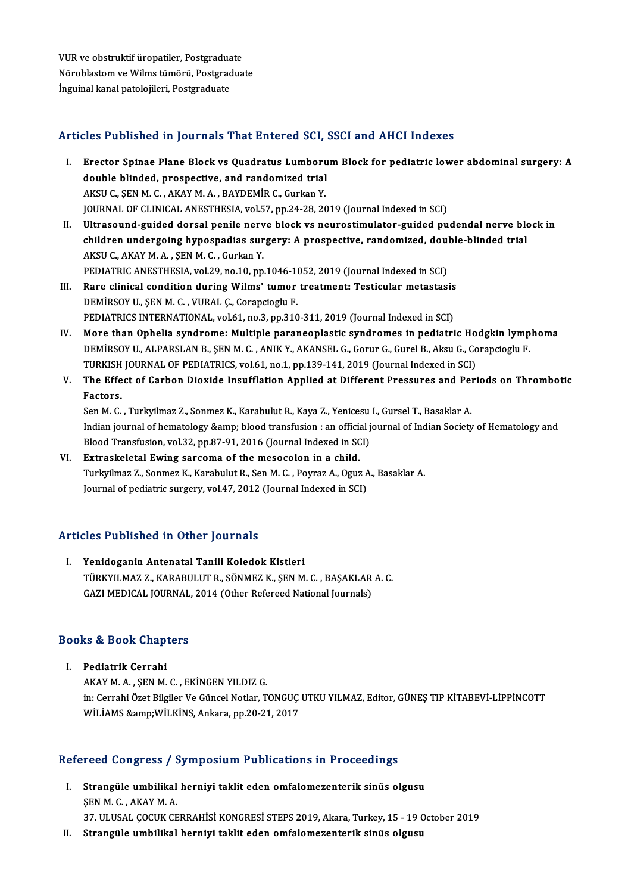VUR ve obstruktif üropatiler, Postgraduate<br>Näneblestem ve Wilme tümänü, Postgraduate VUR ve obstruktif üropatiler, Postgraduate<br>Nöroblastom ve Wilms tümörü, Postgraduate<br>İngyinel kapel patelejileri, Postgraduate VUR ve obstruktif üropatiler, Postgradua<br>Nöroblastom ve Wilms tümörü, Postgrac<br>İnguinal kanal patolojileri, Postgraduate

# Articles Published in Journals That Entered SCI, SSCI and AHCI Indexes

- rticles Published in Journals That Entered SCI, SSCI and AHCI Indexes<br>I. Erector Spinae Plane Block vs Quadratus Lumborum Block for pediatric lower abdominal surgery: A<br>double blinded, prespective, and reademized trial Erector Spinae Plane Block vs Quadratus Lumboru<br>double blinded, prospective, and randomized trial<br>AVSU.C. SEN M.C. AVAV M.A., BAVDEMIB.C. Curkan V Erector Spinae Plane Block vs Quadratus Lumboru<br>double blinded, prospective, and randomized trial<br>AKSU C., ŞEN M. C., AKAY M. A., BAYDEMİR C., Gurkan Y.<br>JOUPMAL OF CLINICAL ANESTHESIA .vel 57. np.24.29.20 double blinded, prospective, and randomized trial<br>AKSU C., ŞEN M. C. , AKAY M. A. , BAYDEMİR C., Gurkan Y.<br>JOURNAL OF CLINICAL ANESTHESIA, vol.57, pp.24-28, 2019 (Journal Indexed in SCI) AKSU C., ŞEN M. C. , AKAY M. A. , BAYDEMİR C., Gurkan Y.<br>JOURNAL OF CLINICAL ANESTHESIA, vol.57, pp.24-28, 2019 (Journal Indexed in SCI)<br>II. Ultrasound-guided dorsal penile nerve block vs neurostimulator-guided pudendal ne
- JOURNAL OF CLINICAL ANESTHESIA, vol.57, pp.24-28, 2019 (Journal Indexed in SCI)<br>Ultrasound-guided dorsal penile nerve block vs neurostimulator-guided pudendal nerve blo<br>children undergoing hypospadias surgery: A prospectiv Ultrasound-guided dorsal penile nerv<br>children undergoing hypospadias sur<br>AKSU C., AKAY M.A., ŞEN M. C., Gurkan Y.<br>PEDIATRIC ANESTHESIA val 30 no.10 nn children undergoing hypospadias surgery: A prospective, randomized, double-blinded trial<br>AKSU C., AKAY M. A., ŞEN M. C., Gurkan Y.<br>PEDIATRIC ANESTHESIA, vol.29, no.10, pp.1046-1052, 2019 (Journal Indexed in SCI)
- III. Rare clinical condition during Wilms' tumor treatment: Testicular metastasis DEMİRSOYU.,ŞENM.C. ,VURAL Ç.,Corapcioglu F. PEDIATRICS INTERNATIONAL, vol.61, no.3, pp.310-311, 2019 (Journal Indexed in SCI)
- IV. More than Ophelia syndrome: Multiple paraneoplastic syndromes in pediatric Hodgkin lymphoma PEDIATRICS INTERNATIONAL, vol.61, no.3, pp.310-311, 2019 (Journal Indexed in SCI)<br>More than Ophelia syndrome: Multiple paraneoplastic syndromes in pediatric Hodgkin lymp<br>DEMİRSOY U., ALPARSLAN B., ŞEN M. C. , ANIK Y., AKAN More than Ophelia syndrome: Multiple paraneoplastic syndromes in pediatric Ho<br>DEMİRSOY U., ALPARSLAN B., ŞEN M. C. , ANIK Y., AKANSEL G., Gorur G., Gurel B., Aksu G., Co<br>TURKISH JOURNAL OF PEDIATRICS, vol.61, no.1, pp.139-TURKISH JOURNAL OF PEDIATRICS, vol.61, no.1, pp.139-141, 2019 (Journal Indexed in SCI)
- V. The Effect of Carbon Dioxide Insufflation Applied at Different Pressures and Periods on Thrombotic The Effect of Carbon Dioxide Insufflation Applied at Different Pressures and Per<br>Factors.<br>Sen M. C. , Turkyilmaz Z., Sonmez K., Karabulut R., Kaya Z., Yenicesu I., Gursel T., Basaklar A.<br>Indian journal of hamatology Romp:

Indian journal of hematology & blood transfusion : an official journal of Indian Society of Hematology and<br>Blood Transfusion, vol.32, pp.87-91, 2016 (Journal Indexed in SCI) Sen M. C. , Turkyilmaz Z., Sonmez K., Karabulut R., Kaya Z., Yenicesu<br>Indian journal of hematology &amp; blood transfusion : an official j<br>Blood Transfusion, vol.32, pp.87-91, 2016 (Journal Indexed in SCI)<br>Extrackeletal Eu

VI. Extraskeletal Ewing sarcoma of themesocolon in a child. Turkyilmaz Z., Sonmez K., Karabulut R., Sen M. C., Poyraz A., Oguz A., Basaklar A. Journal of pediatric surgery, vol.47, 2012 (Journal Indexed in SCI)

### Articles Published in Other Journals

I. Yenidoganin Antenatal Tanili Koledok Kistleri TÜRKYILMAZ Z., KARABULUTR., SÖNMEZK., ŞENM.C., BAŞAKLARA.C. GAZI MEDICAL JOURNAL, 2014 (Other Refereed National Journals)

## GAZI MEDICAL JOOKNAL<br>Books & Book Chapters OOks & Book Chap<br>I. Pediatrik Cerrahi<br>AKAY MASEN M

I. Pediatrik Cerrahi<br>AKAY M.A., SEN M.C., EKİNGEN YILDIZ G. in:CerrahiÖzetBilgilerVeGüncelNotlar,TONGUÇUTKUYILMAZ,Editor,GÜNEŞTIPKİTABEVİ-LİPPİNCOTT WİLİAMS & WİLKİNS, Ankara, pp.20-21, 2017

# WILIAMS &WILKINS, Ankara, pp.20-21, 2017<br>Refereed Congress / Symposium Publications in Proceedings

efereed Congress / Symposium Publications in Proceedings<br>I. Strangüle umbilikal herniyi taklit eden omfalomezenterik sinüs olgusu<br>SEN M.C. AKAYMA I. Strangüle umbilikal herniyi taklit eden omfalomezenterik sinüs olgusu SENM.C., AKAYM.A. Strangüle umbilikal herniyi taklit eden omfalomezenterik sinüs olgusu<br>ŞEN M. C. , AKAY M. A.<br>37. ULUSAL ÇOCUK CERRAHİSİ KONGRESİ STEPS 2019, Akara, Turkey, 15 - 19 October 2019<br>Strangüla umbilikal harniyi taklit odan amfal ŞEN M. C. , AKAY M. A.<br>37. ULUSAL ÇOCUK CERRAHİSİ KONGRESİ STEPS 2019, Akara, Turkey, 15 - 19 (<br>II. Strangüle umbilikal herniyi taklit eden omfalomezenterik sinüs olgusu